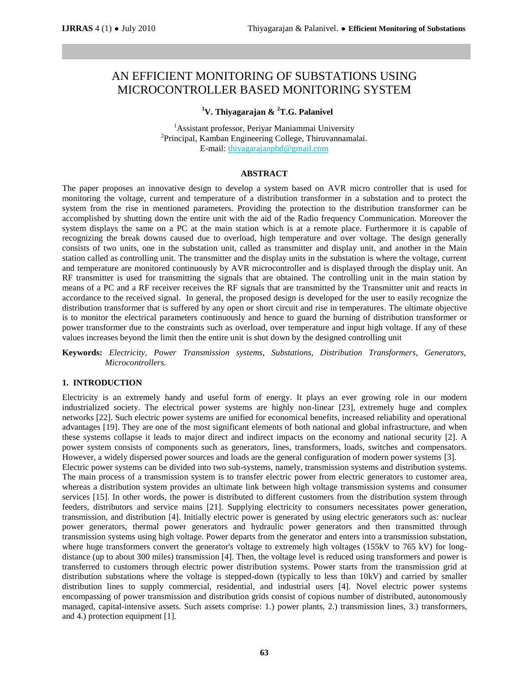# AN EFFICIENT MONITORING OF SUBSTATIONS USING MICROCONTROLLER BASED MONITORING SYSTEM

# **<sup>1</sup>V. Thiyagarajan & <sup>2</sup>T.G. Palanivel**

<sup>1</sup>Assistant professor, Periyar Maniammai University <sup>2</sup>Principal, Kamban Engineering College, Thiruvannamalai. E-mail: thiyagarajanphd@gmail.com

#### **ABSTRACT**

The paper proposes an innovative design to develop a system based on AVR micro controller that is used for monitoring the voltage, current and temperature of a distribution transformer in a substation and to protect the system from the rise in mentioned parameters. Providing the protection to the distribution transformer can be accomplished by shutting down the entire unit with the aid of the Radio frequency Communication. Moreover the system displays the same on a PC at the main station which is at a remote place. Furthermore it is capable of recognizing the break downs caused due to overload, high temperature and over voltage. The design generally consists of two units, one in the substation unit, called as transmitter and display unit, and another in the Main station called as controlling unit. The transmitter and the display units in the substation is where the voltage, current and temperature are monitored continuously by AVR microcontroller and is displayed through the display unit. An RF transmitter is used for transmitting the signals that are obtained. The controlling unit in the main station by means of a PC and a RF receiver receives the RF signals that are transmitted by the Transmitter unit and reacts in accordance to the received signal. In general, the proposed design is developed for the user to easily recognize the distribution transformer that is suffered by any open or short circuit and rise in temperatures. The ultimate objective is to monitor the electrical parameters continuously and hence to guard the burning of distribution transformer or power transformer due to the constraints such as overload, over temperature and input high voltage. If any of these values increases beyond the limit then the entire unit is shut down by the designed controlling unit

**Keywords:** *Electricity, Power Transmission systems, Substations, Distribution Transformers, Generators, Microcontrollers.*

#### **1. INTRODUCTION**

Electricity is an extremely handy and useful form of energy. It plays an ever growing role in our modern industrialized society. The electrical power systems are highly non-linear [23], extremely huge and complex networks [22]. Such electric power systems are unified for economical benefits, increased reliability and operational advantages [19]. They are one of the most significant elements of both national and global infrastructure, and when these systems collapse it leads to major direct and indirect impacts on the economy and national security [2]. A power system consists of components such as generators, lines, transformers, loads, switches and compensators. However, a widely dispersed power sources and loads are the general configuration of modern power systems [3]. Electric power systems can be divided into two sub-systems, namely, transmission systems and distribution systems. The main process of a transmission system is to transfer electric power from electric generators to customer area, whereas a distribution system provides an ultimate link between high voltage transmission systems and consumer services [15]. In other words, the power is distributed to different customers from the distribution system through feeders, distributors and service mains [21]. Supplying electricity to consumers necessitates power generation, transmission, and distribution [4]. Initially electric power is generated by using electric generators such as: nuclear power generators, thermal power generators and hydraulic power generators and then transmitted through transmission systems using high voltage. Power departs from the generator and enters into a transmission substation, where huge transformers convert the generator's voltage to extremely high voltages (155kV to 765 kV) for longdistance (up to about 300 miles) transmission [4]. Then, the voltage level is reduced using transformers and power is transferred to customers through electric power distribution systems. Power starts from the transmission grid at distribution substations where the voltage is stepped-down (typically to less than 10kV) and carried by smaller distribution lines to supply commercial, residential, and industrial users [4]. Novel electric power systems encompassing of power transmission and distribution grids consist of copious number of distributed, autonomously managed, capital-intensive assets. Such assets comprise: 1.) power plants, 2.) transmission lines, 3.) transformers, and 4.) protection equipment [1].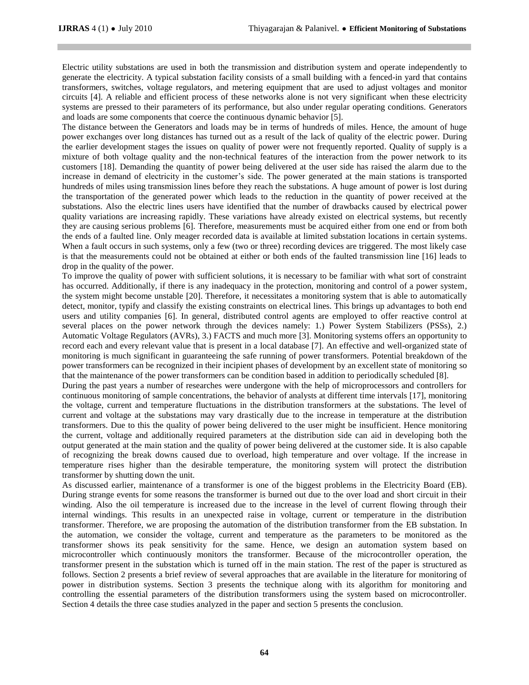Electric utility substations are used in both the transmission and distribution system and operate independently to generate the electricity. A typical substation facility consists of a small building with a fenced-in yard that contains transformers, switches, voltage regulators, and metering equipment that are used to adjust voltages and monitor circuits [4]. A reliable and efficient process of these networks alone is not very significant when these electricity systems are pressed to their parameters of its performance, but also under regular operating conditions. Generators and loads are some components that coerce the continuous dynamic behavior [5].

The distance between the Generators and loads may be in terms of hundreds of miles. Hence, the amount of huge power exchanges over long distances has turned out as a result of the lack of quality of the electric power. During the earlier development stages the issues on quality of power were not frequently reported. Quality of supply is a mixture of both voltage quality and the non-technical features of the interaction from the power network to its customers [18]. Demanding the quantity of power being delivered at the user side has raised the alarm due to the increase in demand of electricity in the customer's side. The power generated at the main stations is transported hundreds of miles using transmission lines before they reach the substations. A huge amount of power is lost during the transportation of the generated power which leads to the reduction in the quantity of power received at the substations. Also the electric lines users have identified that the number of drawbacks caused by electrical power quality variations are increasing rapidly. These variations have already existed on electrical systems, but recently they are causing serious problems [6]. Therefore, measurements must be acquired either from one end or from both the ends of a faulted line. Only meager recorded data is available at limited substation locations in certain systems. When a fault occurs in such systems, only a few (two or three) recording devices are triggered. The most likely case is that the measurements could not be obtained at either or both ends of the faulted transmission line [16] leads to drop in the quality of the power.

To improve the quality of power with sufficient solutions, it is necessary to be familiar with what sort of constraint has occurred. Additionally, if there is any inadequacy in the protection, monitoring and control of a power system, the system might become unstable [20]. Therefore, it necessitates a monitoring system that is able to automatically detect, monitor, typify and classify the existing constraints on electrical lines. This brings up advantages to both end users and utility companies [6]. In general, distributed control agents are employed to offer reactive control at several places on the power network through the devices namely: 1.) Power System Stabilizers (PSSs), 2.) Automatic Voltage Regulators (AVRs), 3.) FACTS and much more [3]. Monitoring systems offers an opportunity to record each and every relevant value that is present in a local database [7]. An effective and well-organized state of monitoring is much significant in guaranteeing the safe running of power transformers. Potential breakdown of the power transformers can be recognized in their incipient phases of development by an excellent state of monitoring so that the maintenance of the power transformers can be condition based in addition to periodically scheduled [8].

During the past years a number of researches were undergone with the help of microprocessors and controllers for continuous monitoring of sample concentrations, the behavior of analysts at different time intervals [17], monitoring the voltage, current and temperature fluctuations in the distribution transformers at the substations. The level of current and voltage at the substations may vary drastically due to the increase in temperature at the distribution transformers. Due to this the quality of power being delivered to the user might be insufficient. Hence monitoring the current, voltage and additionally required parameters at the distribution side can aid in developing both the output generated at the main station and the quality of power being delivered at the customer side. It is also capable of recognizing the break downs caused due to overload, high temperature and over voltage. If the increase in temperature rises higher than the desirable temperature, the monitoring system will protect the distribution transformer by shutting down the unit.

As discussed earlier, maintenance of a transformer is one of the biggest problems in the Electricity Board (EB). During strange events for some reasons the transformer is burned out due to the over load and short circuit in their winding. Also the oil temperature is increased due to the increase in the level of current flowing through their internal windings. This results in an unexpected raise in voltage, current or temperature in the distribution transformer. Therefore, we are proposing the automation of the distribution transformer from the EB substation. In the automation, we consider the voltage, current and temperature as the parameters to be monitored as the transformer shows its peak sensitivity for the same. Hence, we design an automation system based on microcontroller which continuously monitors the transformer. Because of the microcontroller operation, the transformer present in the substation which is turned off in the main station. The rest of the paper is structured as follows. Section 2 presents a brief review of several approaches that are available in the literature for monitoring of power in distribution systems. Section 3 presents the technique along with its algorithm for monitoring and controlling the essential parameters of the distribution transformers using the system based on microcontroller. Section 4 details the three case studies analyzed in the paper and section 5 presents the conclusion.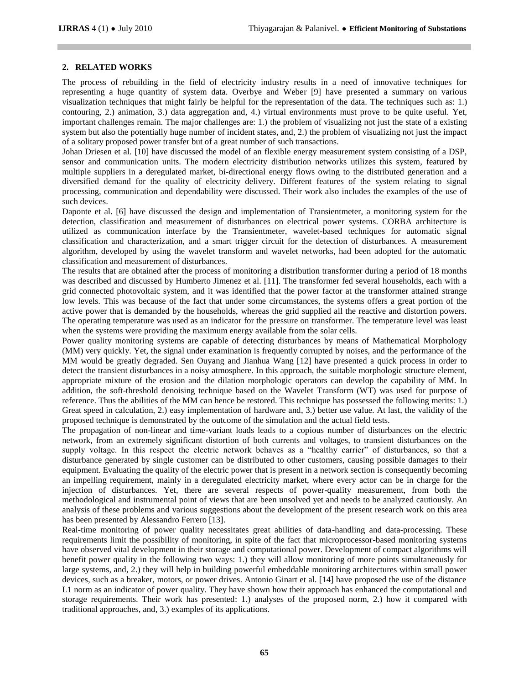## **2. RELATED WORKS**

The process of rebuilding in the field of electricity industry results in a need of innovative techniques for representing a huge quantity of system data. Overbye and Weber [9] have presented a summary on various visualization techniques that might fairly be helpful for the representation of the data. The techniques such as: 1.) contouring, 2.) animation, 3.) data aggregation and, 4.) virtual environments must prove to be quite useful. Yet, important challenges remain. The major challenges are: 1.) the problem of visualizing not just the state of a existing system but also the potentially huge number of incident states, and, 2.) the problem of visualizing not just the impact of a solitary proposed power transfer but of a great number of such transactions.

Johan Driesen et al. [10] have discussed the model of an flexible energy measurement system consisting of a DSP, sensor and communication units. The modern electricity distribution networks utilizes this system, featured by multiple suppliers in a deregulated market, bi-directional energy flows owing to the distributed generation and a diversified demand for the quality of electricity delivery. Different features of the system relating to signal processing, communication and dependability were discussed. Their work also includes the examples of the use of such devices.

Daponte et al. [6] have discussed the design and implementation of Transientmeter, a monitoring system for the detection, classification and measurement of disturbances on electrical power systems. CORBA architecture is utilized as communication interface by the Transientmeter, wavelet-based techniques for automatic signal classification and characterization, and a smart trigger circuit for the detection of disturbances. A measurement algorithm, developed by using the wavelet transform and wavelet networks, had been adopted for the automatic classification and measurement of disturbances.

The results that are obtained after the process of monitoring a distribution transformer during a period of 18 months was described and discussed by Humberto Jimenez et al. [11]. The transformer fed several households, each with a grid connected photovoltaic system, and it was identified that the power factor at the transformer attained strange low levels. This was because of the fact that under some circumstances, the systems offers a great portion of the active power that is demanded by the households, whereas the grid supplied all the reactive and distortion powers. The operating temperature was used as an indicator for the pressure on transformer. The temperature level was least when the systems were providing the maximum energy available from the solar cells.

Power quality monitoring systems are capable of detecting disturbances by means of Mathematical Morphology (MM) very quickly. Yet, the signal under examination is frequently corrupted by noises, and the performance of the MM would be greatly degraded. Sen Ouyang and Jianhua Wang [12] have presented a quick process in order to detect the transient disturbances in a noisy atmosphere. In this approach, the suitable morphologic structure element, appropriate mixture of the erosion and the dilation morphologic operators can develop the capability of MM. In addition, the soft-threshold denoising technique based on the Wavelet Transform (WT) was used for purpose of reference. Thus the abilities of the MM can hence be restored. This technique has possessed the following merits: 1.) Great speed in calculation, 2.) easy implementation of hardware and, 3.) better use value. At last, the validity of the proposed technique is demonstrated by the outcome of the simulation and the actual field tests.

The propagation of non-linear and time-variant loads leads to a copious number of disturbances on the electric network, from an extremely significant distortion of both currents and voltages, to transient disturbances on the supply voltage. In this respect the electric network behaves as a "healthy carrier" of disturbances, so that a disturbance generated by single customer can be distributed to other customers, causing possible damages to their equipment. Evaluating the quality of the electric power that is present in a network section is consequently becoming an impelling requirement, mainly in a deregulated electricity market, where every actor can be in charge for the injection of disturbances. Yet, there are several respects of power-quality measurement, from both the methodological and instrumental point of views that are been unsolved yet and needs to be analyzed cautiously. An analysis of these problems and various suggestions about the development of the present research work on this area has been presented by Alessandro Ferrero [13].

Real-time monitoring of power quality necessitates great abilities of data-handling and data-processing. These requirements limit the possibility of monitoring, in spite of the fact that microprocessor-based monitoring systems have observed vital development in their storage and computational power. Development of compact algorithms will benefit power quality in the following two ways: 1.) they will allow monitoring of more points simultaneously for large systems, and, 2.) they will help in building powerful embeddable monitoring architectures within small power devices, such as a breaker, motors, or power drives. Antonio Ginart et al. [14] have proposed the use of the distance L1 norm as an indicator of power quality. They have shown how their approach has enhanced the computational and storage requirements. Their work has presented: 1.) analyses of the proposed norm, 2.) how it compared with traditional approaches, and, 3.) examples of its applications.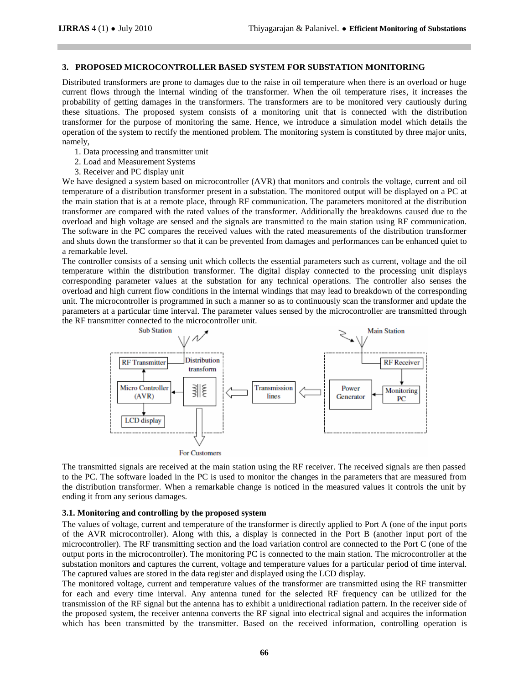## **3. PROPOSED MICROCONTROLLER BASED SYSTEM FOR SUBSTATION MONITORING**

Distributed transformers are prone to damages due to the raise in oil temperature when there is an overload or huge current flows through the internal winding of the transformer. When the oil temperature rises, it increases the probability of getting damages in the transformers. The transformers are to be monitored very cautiously during these situations. The proposed system consists of a monitoring unit that is connected with the distribution transformer for the purpose of monitoring the same. Hence, we introduce a simulation model which details the operation of the system to rectify the mentioned problem. The monitoring system is constituted by three major units, namely,

- 1. Data processing and transmitter unit
- 2. Load and Measurement Systems
- 3. Receiver and PC display unit

We have designed a system based on microcontroller (AVR) that monitors and controls the voltage, current and oil temperature of a distribution transformer present in a substation. The monitored output will be displayed on a PC at the main station that is at a remote place, through RF communication. The parameters monitored at the distribution transformer are compared with the rated values of the transformer. Additionally the breakdowns caused due to the overload and high voltage are sensed and the signals are transmitted to the main station using RF communication. The software in the PC compares the received values with the rated measurements of the distribution transformer and shuts down the transformer so that it can be prevented from damages and performances can be enhanced quiet to a remarkable level.

The controller consists of a sensing unit which collects the essential parameters such as current, voltage and the oil temperature within the distribution transformer. The digital display connected to the processing unit displays corresponding parameter values at the substation for any technical operations. The controller also senses the overload and high current flow conditions in the internal windings that may lead to breakdown of the corresponding unit. The microcontroller is programmed in such a manner so as to continuously scan the transformer and update the parameters at a particular time interval. The parameter values sensed by the microcontroller are transmitted through the RF transmitter connected to the microcontroller unit.



The transmitted signals are received at the main station using the RF receiver. The received signals are then passed to the PC. The software loaded in the PC is used to monitor the changes in the parameters that are measured from the distribution transformer. When a remarkable change is noticed in the measured values it controls the unit by ending it from any serious damages.

#### **3.1. Monitoring and controlling by the proposed system**

The values of voltage, current and temperature of the transformer is directly applied to Port A (one of the input ports of the AVR microcontroller). Along with this, a display is connected in the Port B (another input port of the microcontroller). The RF transmitting section and the load variation control are connected to the Port C (one of the output ports in the microcontroller). The monitoring PC is connected to the main station. The microcontroller at the substation monitors and captures the current, voltage and temperature values for a particular period of time interval. The captured values are stored in the data register and displayed using the LCD display.

The monitored voltage, current and temperature values of the transformer are transmitted using the RF transmitter for each and every time interval. Any antenna tuned for the selected RF frequency can be utilized for the transmission of the RF signal but the antenna has to exhibit a unidirectional radiation pattern. In the receiver side of the proposed system, the receiver antenna converts the RF signal into electrical signal and acquires the information which has been transmitted by the transmitter. Based on the received information, controlling operation is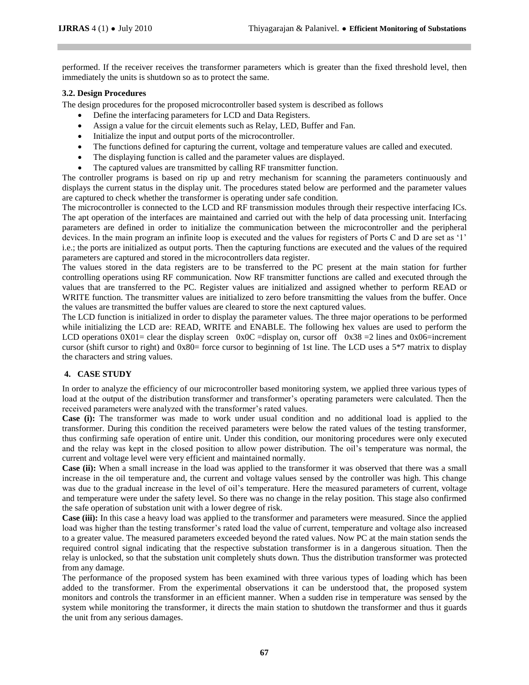performed. If the receiver receives the transformer parameters which is greater than the fixed threshold level, then immediately the units is shutdown so as to protect the same.

## **3.2. Design Procedures**

The design procedures for the proposed microcontroller based system is described as follows

- Define the interfacing parameters for LCD and Data Registers.
- Assign a value for the circuit elements such as Relay, LED, Buffer and Fan.
- Initialize the input and output ports of the microcontroller.
- The functions defined for capturing the current, voltage and temperature values are called and executed.
- The displaying function is called and the parameter values are displayed.
- The captured values are transmitted by calling RF transmitter function.

The controller programs is based on rip up and retry mechanism for scanning the parameters continuously and displays the current status in the display unit. The procedures stated below are performed and the parameter values are captured to check whether the transformer is operating under safe condition.

The microcontroller is connected to the LCD and RF transmission modules through their respective interfacing ICs. The apt operation of the interfaces are maintained and carried out with the help of data processing unit. Interfacing parameters are defined in order to initialize the communication between the microcontroller and the peripheral devices. In the main program an infinite loop is executed and the values for registers of Ports C and D are set as '1' i.e.; the ports are initialized as output ports. Then the capturing functions are executed and the values of the required parameters are captured and stored in the microcontrollers data register.

The values stored in the data registers are to be transferred to the PC present at the main station for further controlling operations using RF communication. Now RF transmitter functions are called and executed through the values that are transferred to the PC. Register values are initialized and assigned whether to perform READ or WRITE function. The transmitter values are initialized to zero before transmitting the values from the buffer. Once the values are transmitted the buffer values are cleared to store the next captured values.

The LCD function is initialized in order to display the parameter values. The three major operations to be performed while initializing the LCD are: READ, WRITE and ENABLE. The following hex values are used to perform the LCD operations  $0X01=$  clear the display screen  $0X0C=$  display on, cursor off  $0X38=2$  lines and  $0X06=$ increment cursor (shift cursor to right) and 0x80= force cursor to beginning of 1st line. The LCD uses a 5\*7 matrix to display the characters and string values.

# **4. CASE STUDY**

In order to analyze the efficiency of our microcontroller based monitoring system, we applied three various types of load at the output of the distribution transformer and transformer's operating parameters were calculated. Then the received parameters were analyzed with the transformer's rated values.

**Case (i):** The transformer was made to work under usual condition and no additional load is applied to the transformer. During this condition the received parameters were below the rated values of the testing transformer, thus confirming safe operation of entire unit. Under this condition, our monitoring procedures were only executed and the relay was kept in the closed position to allow power distribution. The oil's temperature was normal, the current and voltage level were very efficient and maintained normally.

**Case (ii):** When a small increase in the load was applied to the transformer it was observed that there was a small increase in the oil temperature and, the current and voltage values sensed by the controller was high. This change was due to the gradual increase in the level of oil's temperature. Here the measured parameters of current, voltage and temperature were under the safety level. So there was no change in the relay position. This stage also confirmed the safe operation of substation unit with a lower degree of risk.

**Case (iii):** In this case a heavy load was applied to the transformer and parameters were measured. Since the applied load was higher than the testing transformer's rated load the value of current, temperature and voltage also increased to a greater value. The measured parameters exceeded beyond the rated values. Now PC at the main station sends the required control signal indicating that the respective substation transformer is in a dangerous situation. Then the relay is unlocked, so that the substation unit completely shuts down. Thus the distribution transformer was protected from any damage.

The performance of the proposed system has been examined with three various types of loading which has been added to the transformer. From the experimental observations it can be understood that, the proposed system monitors and controls the transformer in an efficient manner. When a sudden rise in temperature was sensed by the system while monitoring the transformer, it directs the main station to shutdown the transformer and thus it guards the unit from any serious damages.